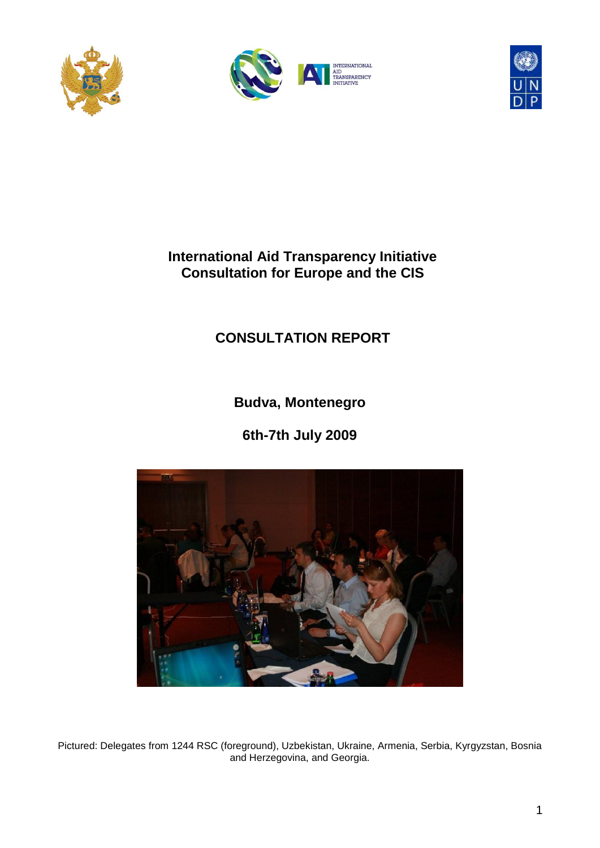





# **International Aid Transparency Initiative Consultation for Europe and the CIS**

# **CONSULTATION REPORT**

**Budva, Montenegro**

**6th-7th July 2009**



Pictured: Delegates from 1244 RSC (foreground), Uzbekistan, Ukraine, Armenia, Serbia, Kyrgyzstan, Bosnia and Herzegovina, and Georgia.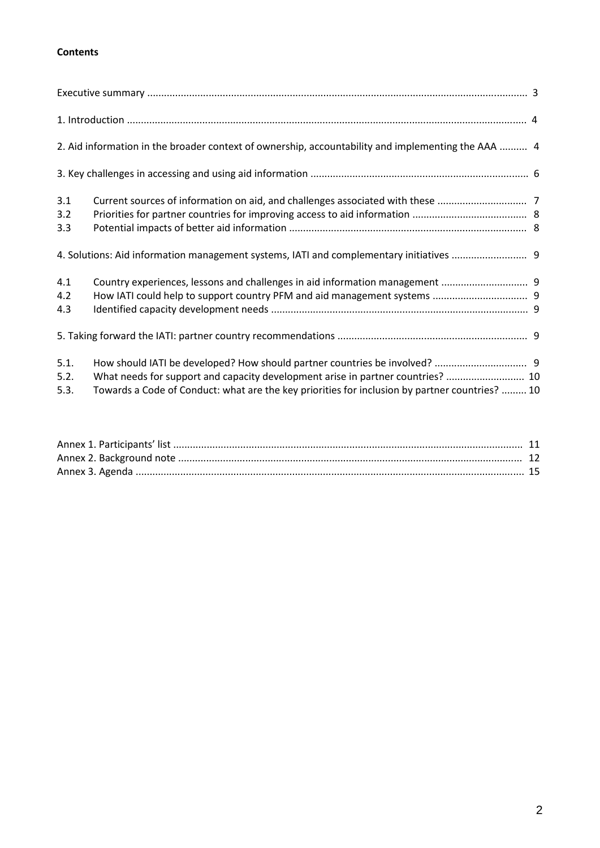#### **Contents**

|                      | 2. Aid information in the broader context of ownership, accountability and implementing the AAA  4                                                                                |  |
|----------------------|-----------------------------------------------------------------------------------------------------------------------------------------------------------------------------------|--|
|                      |                                                                                                                                                                                   |  |
| 3.1<br>3.2<br>3.3    |                                                                                                                                                                                   |  |
|                      | 4. Solutions: Aid information management systems, IATI and complementary initiatives  9                                                                                           |  |
| 4.1<br>4.2<br>4.3    |                                                                                                                                                                                   |  |
|                      |                                                                                                                                                                                   |  |
| 5.1.<br>5.2.<br>5.3. | What needs for support and capacity development arise in partner countries?  10<br>Towards a Code of Conduct: what are the key priorities for inclusion by partner countries?  10 |  |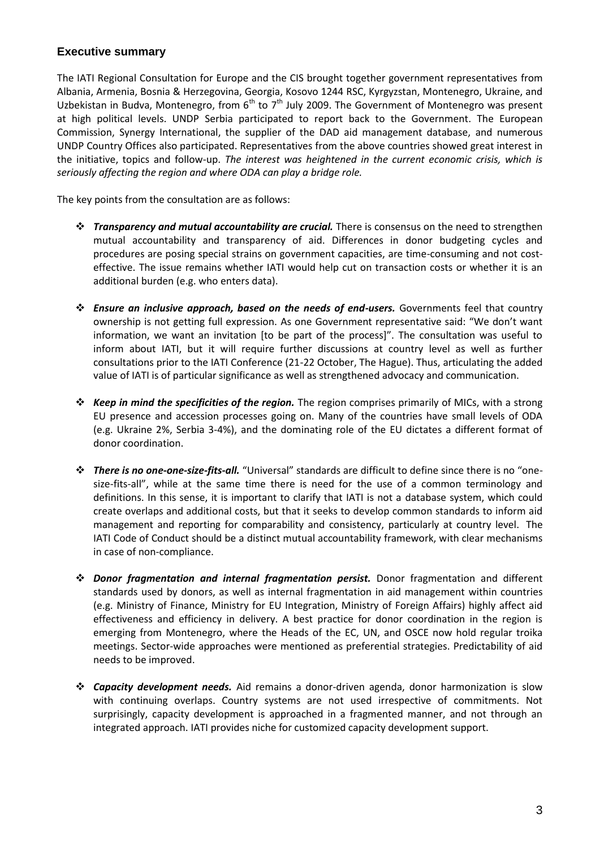### **Executive summary**

The IATI Regional Consultation for Europe and the CIS brought together government representatives from Albania, Armenia, Bosnia & Herzegovina, Georgia, Kosovo 1244 RSC, Kyrgyzstan, Montenegro, Ukraine, and Uzbekistan in Budva, Montenegro, from  $6<sup>th</sup>$  to  $7<sup>th</sup>$  July 2009. The Government of Montenegro was present at high political levels. UNDP Serbia participated to report back to the Government. The European Commission, Synergy International, the supplier of the DAD aid management database, and numerous UNDP Country Offices also participated. Representatives from the above countries showed great interest in the initiative, topics and follow-up. *The interest was heightened in the current economic crisis, which is seriously affecting the region and where ODA can play a bridge role.*

The key points from the consultation are as follows:

- *Transparency and mutual accountability are crucial.* There is consensus on the need to strengthen mutual accountability and transparency of aid. Differences in donor budgeting cycles and procedures are posing special strains on government capacities, are time-consuming and not costeffective. The issue remains whether IATI would help cut on transaction costs or whether it is an additional burden (e.g. who enters data).
- *Ensure an inclusive approach, based on the needs of end-users.* Governments feel that country ownership is not getting full expression. As one Government representative said: "We don't want information, we want an invitation [to be part of the process]". The consultation was useful to inform about IATI, but it will require further discussions at country level as well as further consultations prior to the IATI Conference (21-22 October, The Hague). Thus, articulating the added value of IATI is of particular significance as well as strengthened advocacy and communication.
- *Keep in mind the specificities of the region.* The region comprises primarily of MICs, with a strong EU presence and accession processes going on. Many of the countries have small levels of ODA (e.g. Ukraine 2%, Serbia 3-4%), and the dominating role of the EU dictates a different format of donor coordination.
- *There is no one-one-size-fits-all.* "Universal" standards are difficult to define since there is no "onesize-fits-all", while at the same time there is need for the use of a common terminology and definitions. In this sense, it is important to clarify that IATI is not a database system, which could create overlaps and additional costs, but that it seeks to develop common standards to inform aid management and reporting for comparability and consistency, particularly at country level. The IATI Code of Conduct should be a distinct mutual accountability framework, with clear mechanisms in case of non-compliance.
- *Donor fragmentation and internal fragmentation persist.* Donor fragmentation and different standards used by donors, as well as internal fragmentation in aid management within countries (e.g. Ministry of Finance, Ministry for EU Integration, Ministry of Foreign Affairs) highly affect aid effectiveness and efficiency in delivery. A best practice for donor coordination in the region is emerging from Montenegro, where the Heads of the EC, UN, and OSCE now hold regular troika meetings. Sector-wide approaches were mentioned as preferential strategies. Predictability of aid needs to be improved.
- *Capacity development needs.* Aid remains a donor-driven agenda, donor harmonization is slow with continuing overlaps. Country systems are not used irrespective of commitments. Not surprisingly, capacity development is approached in a fragmented manner, and not through an integrated approach. IATI provides niche for customized capacity development support.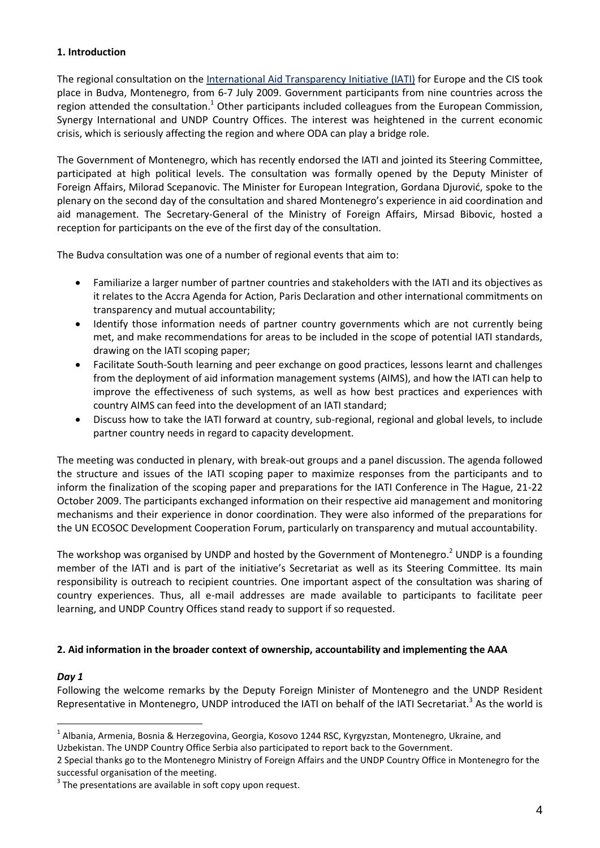#### **1. Introduction**

The regional consultation on the [International Aid Transparency Initiative](http://aidtransparency.net/) (IATI) for Europe and the CIS took place in Budva, Montenegro, from 6-7 July 2009. Government participants from nine countries across the region attended the consultation.<sup>1</sup> Other participants included colleagues from the European Commission, Synergy International and UNDP Country Offices. The interest was heightened in the current economic crisis, which is seriously affecting the region and where ODA can play a bridge role.

The Government of Montenegro, which has recently endorsed the IATI and jointed its Steering Committee, participated at high political levels. The consultation was formally opened by the Deputy Minister of Foreign Affairs, Milorad Scepanovic. The Minister for European Integration, Gordana Djurović, spoke to the plenary on the second day of the consultation and shared Montenegro's experience in aid coordination and aid management. The Secretary-General of the Ministry of Foreign Affairs, Mirsad Bibovic, hosted a reception for participants on the eve of the first day of the consultation.

The Budva consultation was one of a number of regional events that aim to:

- Familiarize a larger number of partner countries and stakeholders with the IATI and its objectives as it relates to the Accra Agenda for Action, Paris Declaration and other international commitments on transparency and mutual accountability;
- Identify those information needs of partner country governments which are not currently being met, and make recommendations for areas to be included in the scope of potential IATI standards, drawing on the IATI scoping paper;
- Facilitate South-South learning and peer exchange on good practices, lessons learnt and challenges from the deployment of aid information management systems (AIMS), and how the IATI can help to improve the effectiveness of such systems, as well as how best practices and experiences with country AIMS can feed into the development of an IATI standard;
- Discuss how to take the IATI forward at country, sub-regional, regional and global levels, to include partner country needs in regard to capacity development.

The meeting was conducted in plenary, with break-out groups and a panel discussion. The agenda followed the structure and issues of the IATI scoping paper to maximize responses from the participants and to inform the finalization of the scoping paper and preparations for the IATI Conference in The Hague, 21-22 October 2009. The participants exchanged information on their respective aid management and monitoring mechanisms and their experience in donor coordination. They were also informed of the preparations for the UN ECOSOC Development Cooperation Forum, particularly on transparency and mutual accountability.

The workshop was organised by UNDP and hosted by the Government of Montenegro.<sup>2</sup> UNDP is a founding member of the IATI and is part of the initiative's Secretariat as well as its Steering Committee. Its main responsibility is outreach to recipient countries. One important aspect of the consultation was sharing of country experiences. Thus, all e-mail addresses are made available to participants to facilitate peer learning, and UNDP Country Offices stand ready to support if so requested.

#### **2. Aid information in the broader context of ownership, accountability and implementing the AAA**

#### *Day 1*

1

Following the welcome remarks by the Deputy Foreign Minister of Montenegro and the UNDP Resident Representative in Montenegro, UNDP introduced the IATI on behalf of the IATI Secretariat.<sup>3</sup> As the world is

<sup>&</sup>lt;sup>1</sup> Albania, Armenia, Bosnia & Herzegovina, Georgia, Kosovo 1244 RSC, Kyrgyzstan, Montenegro, Ukraine, and Uzbekistan. The UNDP Country Office Serbia also participated to report back to the Government.

<sup>2</sup> Special thanks go to the Montenegro Ministry of Foreign Affairs and the UNDP Country Office in Montenegro for the successful organisation of the meeting.

 $3$  The presentations are available in soft copy upon request.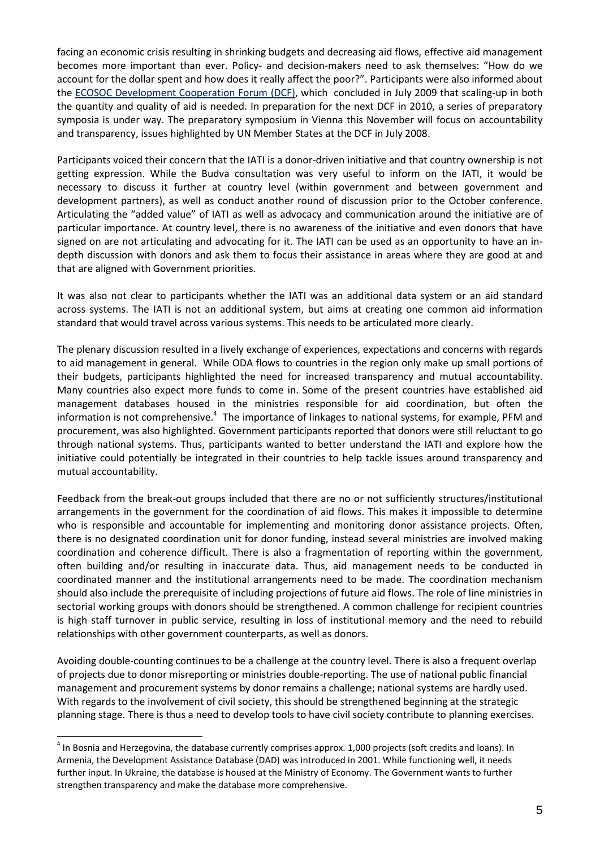facing an economic crisis resulting in shrinking budgets and decreasing aid flows, effective aid management becomes more important than ever. Policy- and decision-makers need to ask themselves: "How do we account for the dollar spent and how does it really affect the poor?". Participants were also informed about the [ECOSOC Development Cooperation Forum](http://www.un.org/ecosoc/newfunct/develop.shtml) (DCF), which concluded in July 2009 that scaling-up in both the quantity and quality of aid is needed. In preparation for the next DCF in 2010, a series of preparatory symposia is under way. The preparatory symposium in Vienna this November will focus on accountability and transparency, issues highlighted by UN Member States at the DCF in July 2008.

Participants voiced their concern that the IATI is a donor-driven initiative and that country ownership is not getting expression. While the Budva consultation was very useful to inform on the IATI, it would be necessary to discuss it further at country level (within government and between government and development partners), as well as conduct another round of discussion prior to the October conference. Articulating the "added value" of IATI as well as advocacy and communication around the initiative are of particular importance. At country level, there is no awareness of the initiative and even donors that have signed on are not articulating and advocating for it. The IATI can be used as an opportunity to have an indepth discussion with donors and ask them to focus their assistance in areas where they are good at and that are aligned with Government priorities.

It was also not clear to participants whether the IATI was an additional data system or an aid standard across systems. The IATI is not an additional system, but aims at creating one common aid information standard that would travel across various systems. This needs to be articulated more clearly.

The plenary discussion resulted in a lively exchange of experiences, expectations and concerns with regards to aid management in general. While ODA flows to countries in the region only make up small portions of their budgets, participants highlighted the need for increased transparency and mutual accountability. Many countries also expect more funds to come in. Some of the present countries have established aid management databases housed in the ministries responsible for aid coordination, but often the information is not comprehensive.<sup>4</sup> The importance of linkages to national systems, for example, PFM and procurement, was also highlighted. Government participants reported that donors were still reluctant to go through national systems. Thus, participants wanted to better understand the IATI and explore how the initiative could potentially be integrated in their countries to help tackle issues around transparency and mutual accountability.

Feedback from the break-out groups included that there are no or not sufficiently structures/institutional arrangements in the government for the coordination of aid flows. This makes it impossible to determine who is responsible and accountable for implementing and monitoring donor assistance projects. Often, there is no designated coordination unit for donor funding, instead several ministries are involved making coordination and coherence difficult. There is also a fragmentation of reporting within the government, often building and/or resulting in inaccurate data. Thus, aid management needs to be conducted in coordinated manner and the institutional arrangements need to be made. The coordination mechanism should also include the prerequisite of including projections of future aid flows. The role of line ministries in sectorial working groups with donors should be strengthened. A common challenge for recipient countries is high staff turnover in public service, resulting in loss of institutional memory and the need to rebuild relationships with other government counterparts, as well as donors.

Avoiding double-counting continues to be a challenge at the country level. There is also a frequent overlap of projects due to donor misreporting or ministries double-reporting. The use of national public financial management and procurement systems by donor remains a challenge; national systems are hardly used. With regards to the involvement of civil society, this should be strengthened beginning at the strategic planning stage. There is thus a need to develop tools to have civil society contribute to planning exercises.

1

 $^4$  In Bosnia and Herzegovina, the database currently comprises approx. 1,000 projects (soft credits and loans). In Armenia, the Development Assistance Database (DAD) was introduced in 2001. While functioning well, it needs further input. In Ukraine, the database is housed at the Ministry of Economy. The Government wants to further strengthen transparency and make the database more comprehensive.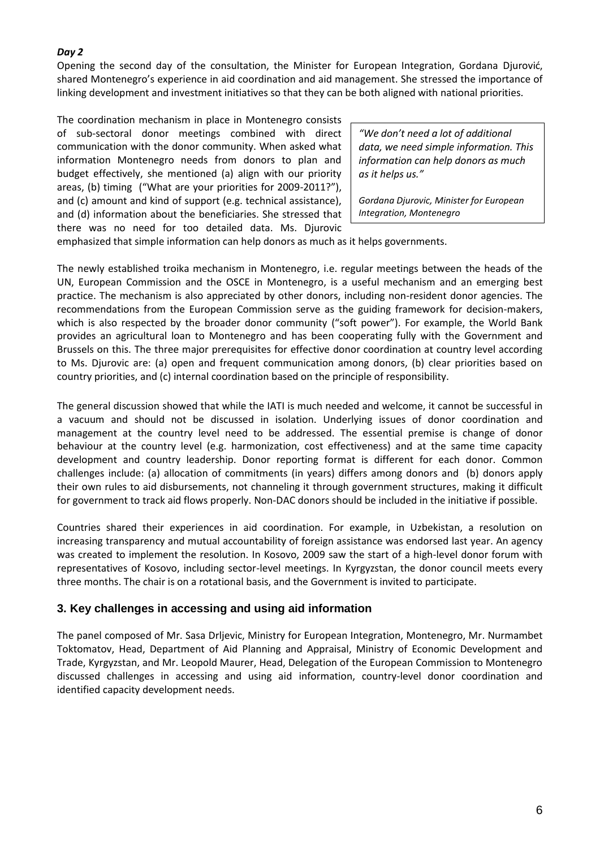### *Day 2*

Opening the second day of the consultation, the Minister for European Integration, Gordana Djurović, shared Montenegro's experience in aid coordination and aid management. She stressed the importance of linking development and investment initiatives so that they can be both aligned with national priorities.

The coordination mechanism in place in Montenegro consists of sub-sectoral donor meetings combined with direct communication with the donor community. When asked what information Montenegro needs from donors to plan and budget effectively, she mentioned (a) align with our priority areas, (b) timing ("What are your priorities for 2009-2011?"), and (c) amount and kind of support (e.g. technical assistance), and (d) information about the beneficiaries. She stressed that there was no need for too detailed data. Ms. Djurovic

*"We don't need a lot of additional data, we need simple information. This information can help donors as much as it helps us."*

*Gordana Djurovic, Minister for European Integration, Montenegro*

emphasized that simple information can help donors as much as it helps governments.

The newly established troika mechanism in Montenegro, i.e. regular meetings between the heads of the UN, European Commission and the OSCE in Montenegro, is a useful mechanism and an emerging best practice. The mechanism is also appreciated by other donors, including non-resident donor agencies. The recommendations from the European Commission serve as the guiding framework for decision-makers, which is also respected by the broader donor community ("soft power"). For example, the World Bank provides an agricultural loan to Montenegro and has been cooperating fully with the Government and Brussels on this. The three major prerequisites for effective donor coordination at country level according to Ms. Djurovic are: (a) open and frequent communication among donors, (b) clear priorities based on country priorities, and (c) internal coordination based on the principle of responsibility.

The general discussion showed that while the IATI is much needed and welcome, it cannot be successful in a vacuum and should not be discussed in isolation. Underlying issues of donor coordination and management at the country level need to be addressed. The essential premise is change of donor behaviour at the country level (e.g. harmonization, cost effectiveness) and at the same time capacity development and country leadership. Donor reporting format is different for each donor. Common challenges include: (a) allocation of commitments (in years) differs among donors and (b) donors apply their own rules to aid disbursements, not channeling it through government structures, making it difficult for government to track aid flows properly. Non-DAC donors should be included in the initiative if possible.

Countries shared their experiences in aid coordination. For example, in Uzbekistan, a resolution on increasing transparency and mutual accountability of foreign assistance was endorsed last year. An agency was created to implement the resolution. In Kosovo, 2009 saw the start of a high-level donor forum with representatives of Kosovo, including sector-level meetings. In Kyrgyzstan, the donor council meets every three months. The chair is on a rotational basis, and the Government is invited to participate.

### **3. Key challenges in accessing and using aid information**

The panel composed of Mr. Sasa Drljevic, Ministry for European Integration, Montenegro, Mr. Nurmambet Toktomatov, Head, Department of Aid Planning and Appraisal, Ministry of Economic Development and Trade, Kyrgyzstan, and Mr. Leopold Maurer, Head, Delegation of the European Commission to Montenegro discussed challenges in accessing and using aid information, country-level donor coordination and identified capacity development needs.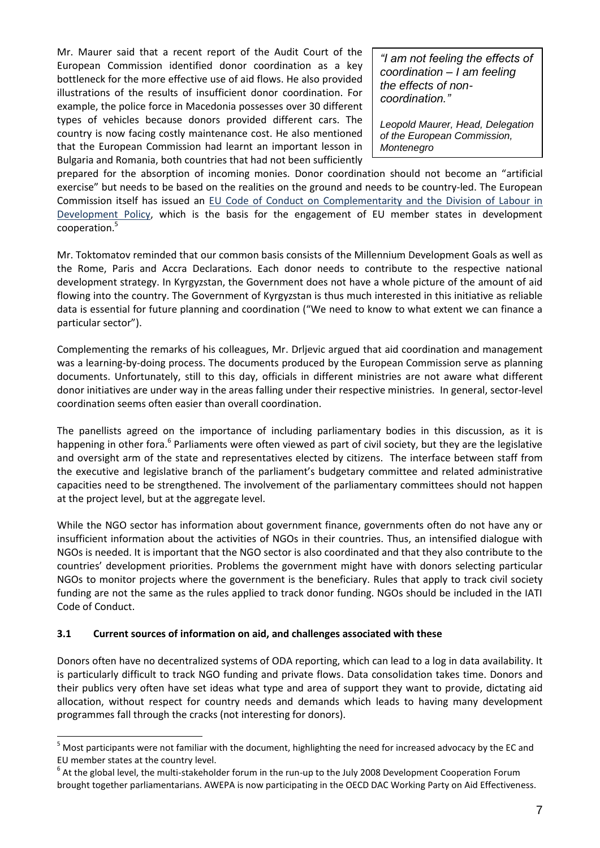Mr. Maurer said that a recent report of the Audit Court of the European Commission identified donor coordination as a key bottleneck for the more effective use of aid flows. He also provided illustrations of the results of insufficient donor coordination. For example, the police force in Macedonia possesses over 30 different types of vehicles because donors provided different cars. The country is now facing costly maintenance cost. He also mentioned that the European Commission had learnt an important lesson in Bulgaria and Romania, both countries that had not been sufficiently

*"I am not feeling the effects of coordination – I am feeling the effects of noncoordination."*

*Leopold Maurer, Head, Delegation of the European Commission, Montenegro*

prepared for the absorption of incoming monies. Donor coordination should not become an "artificial exercise" but needs to be based on the realities on the ground and needs to be country-led. The European Commission itself has issued an [EU Code of Conduct on Complementarity and the Division of Labour in](http://europa.eu/legislation_summaries/development/general_development_framework/r13003_en.htm)  [Development Policy,](http://europa.eu/legislation_summaries/development/general_development_framework/r13003_en.htm) which is the basis for the engagement of EU member states in development cooperation.<sup>5</sup>

Mr. Toktomatov reminded that our common basis consists of the Millennium Development Goals as well as the Rome, Paris and Accra Declarations. Each donor needs to contribute to the respective national development strategy. In Kyrgyzstan, the Government does not have a whole picture of the amount of aid flowing into the country. The Government of Kyrgyzstan is thus much interested in this initiative as reliable data is essential for future planning and coordination ("We need to know to what extent we can finance a particular sector").

Complementing the remarks of his colleagues, Mr. Drljevic argued that aid coordination and management was a learning-by-doing process. The documents produced by the European Commission serve as planning documents. Unfortunately, still to this day, officials in different ministries are not aware what different donor initiatives are under way in the areas falling under their respective ministries. In general, sector-level coordination seems often easier than overall coordination.

The panellists agreed on the importance of including parliamentary bodies in this discussion, as it is happening in other fora.<sup>6</sup> Parliaments were often viewed as part of civil society, but they are the legislative and oversight arm of the state and representatives elected by citizens. The interface between staff from the executive and legislative branch of the parliament's budgetary committee and related administrative capacities need to be strengthened. The involvement of the parliamentary committees should not happen at the project level, but at the aggregate level.

While the NGO sector has information about government finance, governments often do not have any or insufficient information about the activities of NGOs in their countries. Thus, an intensified dialogue with NGOs is needed. It is important that the NGO sector is also coordinated and that they also contribute to the countries' development priorities. Problems the government might have with donors selecting particular NGOs to monitor projects where the government is the beneficiary. Rules that apply to track civil society funding are not the same as the rules applied to track donor funding. NGOs should be included in the IATI Code of Conduct.

#### **3.1 Current sources of information on aid, and challenges associated with these**

1

Donors often have no decentralized systems of ODA reporting, which can lead to a log in data availability. It is particularly difficult to track NGO funding and private flows. Data consolidation takes time. Donors and their publics very often have set ideas what type and area of support they want to provide, dictating aid allocation, without respect for country needs and demands which leads to having many development programmes fall through the cracks (not interesting for donors).

<sup>5</sup> Most participants were not familiar with the document, highlighting the need for increased advocacy by the EC and EU member states at the country level.

 $^6$  At the global level, the multi-stakeholder forum in the run-up to the July 2008 Development Cooperation Forum brought together parliamentarians. AWEPA is now participating in the OECD DAC Working Party on Aid Effectiveness.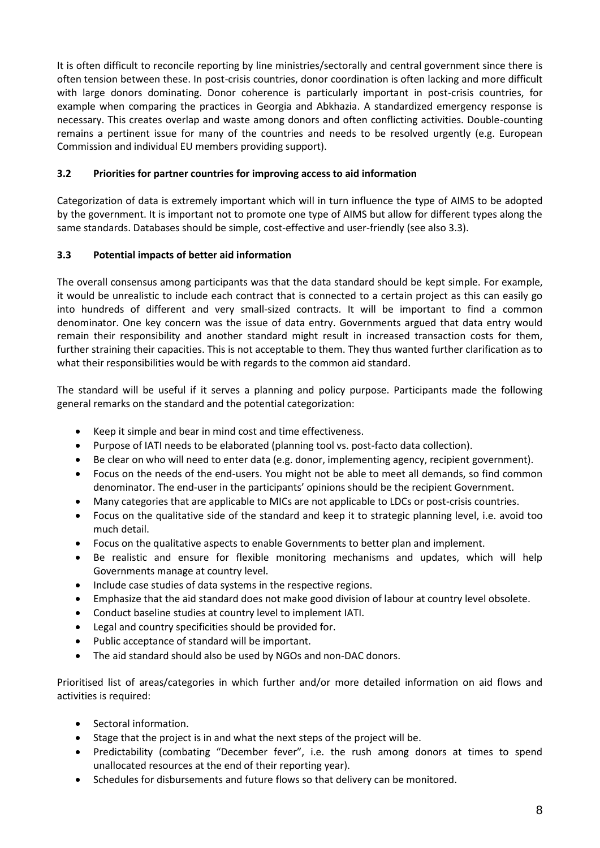It is often difficult to reconcile reporting by line ministries/sectorally and central government since there is often tension between these. In post-crisis countries, donor coordination is often lacking and more difficult with large donors dominating. Donor coherence is particularly important in post-crisis countries, for example when comparing the practices in Georgia and Abkhazia. A standardized emergency response is necessary. This creates overlap and waste among donors and often conflicting activities. Double-counting remains a pertinent issue for many of the countries and needs to be resolved urgently (e.g. European Commission and individual EU members providing support).

### **3.2 Priorities for partner countries for improving access to aid information**

Categorization of data is extremely important which will in turn influence the type of AIMS to be adopted by the government. It is important not to promote one type of AIMS but allow for different types along the same standards. Databases should be simple, cost-effective and user-friendly (see also 3.3).

### **3.3 Potential impacts of better aid information**

The overall consensus among participants was that the data standard should be kept simple. For example, it would be unrealistic to include each contract that is connected to a certain project as this can easily go into hundreds of different and very small-sized contracts. It will be important to find a common denominator. One key concern was the issue of data entry. Governments argued that data entry would remain their responsibility and another standard might result in increased transaction costs for them, further straining their capacities. This is not acceptable to them. They thus wanted further clarification as to what their responsibilities would be with regards to the common aid standard.

The standard will be useful if it serves a planning and policy purpose. Participants made the following general remarks on the standard and the potential categorization:

- Keep it simple and bear in mind cost and time effectiveness.
- Purpose of IATI needs to be elaborated (planning tool vs. post-facto data collection).
- Be clear on who will need to enter data (e.g. donor, implementing agency, recipient government).
- Focus on the needs of the end-users. You might not be able to meet all demands, so find common denominator. The end-user in the participants' opinions should be the recipient Government.
- Many categories that are applicable to MICs are not applicable to LDCs or post-crisis countries.
- Focus on the qualitative side of the standard and keep it to strategic planning level, i.e. avoid too much detail.
- Focus on the qualitative aspects to enable Governments to better plan and implement.
- Be realistic and ensure for flexible monitoring mechanisms and updates, which will help Governments manage at country level.
- Include case studies of data systems in the respective regions.
- Emphasize that the aid standard does not make good division of labour at country level obsolete.
- Conduct baseline studies at country level to implement IATI.
- Legal and country specificities should be provided for.
- Public acceptance of standard will be important.
- The aid standard should also be used by NGOs and non-DAC donors.

Prioritised list of areas/categories in which further and/or more detailed information on aid flows and activities is required:

- Sectoral information.
- Stage that the project is in and what the next steps of the project will be.
- Predictability (combating "December fever", i.e. the rush among donors at times to spend unallocated resources at the end of their reporting year).
- Schedules for disbursements and future flows so that delivery can be monitored.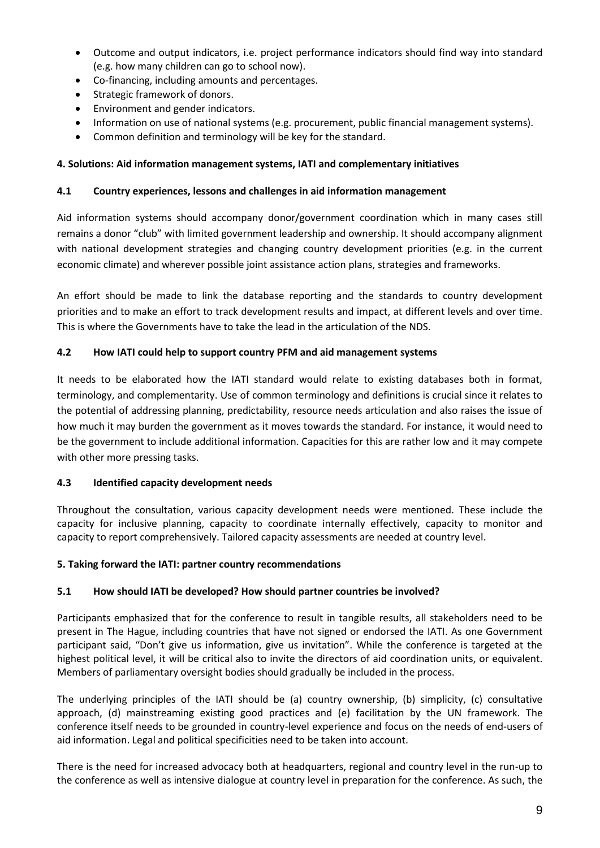- Outcome and output indicators, i.e. project performance indicators should find way into standard (e.g. how many children can go to school now).
- Co-financing, including amounts and percentages.
- Strategic framework of donors.
- Environment and gender indicators.
- Information on use of national systems (e.g. procurement, public financial management systems).
- Common definition and terminology will be key for the standard.

#### **4. Solutions: Aid information management systems, IATI and complementary initiatives**

#### **4.1 Country experiences, lessons and challenges in aid information management**

Aid information systems should accompany donor/government coordination which in many cases still remains a donor "club" with limited government leadership and ownership. It should accompany alignment with national development strategies and changing country development priorities (e.g. in the current economic climate) and wherever possible joint assistance action plans, strategies and frameworks.

An effort should be made to link the database reporting and the standards to country development priorities and to make an effort to track development results and impact, at different levels and over time. This is where the Governments have to take the lead in the articulation of the NDS.

#### **4.2 How IATI could help to support country PFM and aid management systems**

It needs to be elaborated how the IATI standard would relate to existing databases both in format, terminology, and complementarity. Use of common terminology and definitions is crucial since it relates to the potential of addressing planning, predictability, resource needs articulation and also raises the issue of how much it may burden the government as it moves towards the standard. For instance, it would need to be the government to include additional information. Capacities for this are rather low and it may compete with other more pressing tasks.

#### **4.3 Identified capacity development needs**

Throughout the consultation, various capacity development needs were mentioned. These include the capacity for inclusive planning, capacity to coordinate internally effectively, capacity to monitor and capacity to report comprehensively. Tailored capacity assessments are needed at country level.

#### **5. Taking forward the IATI: partner country recommendations**

#### **5.1 How should IATI be developed? How should partner countries be involved?**

Participants emphasized that for the conference to result in tangible results, all stakeholders need to be present in The Hague, including countries that have not signed or endorsed the IATI. As one Government participant said, "Don't give us information, give us invitation". While the conference is targeted at the highest political level, it will be critical also to invite the directors of aid coordination units, or equivalent. Members of parliamentary oversight bodies should gradually be included in the process.

The underlying principles of the IATI should be (a) country ownership, (b) simplicity, (c) consultative approach, (d) mainstreaming existing good practices and (e) facilitation by the UN framework. The conference itself needs to be grounded in country-level experience and focus on the needs of end-users of aid information. Legal and political specificities need to be taken into account.

There is the need for increased advocacy both at headquarters, regional and country level in the run-up to the conference as well as intensive dialogue at country level in preparation for the conference. As such, the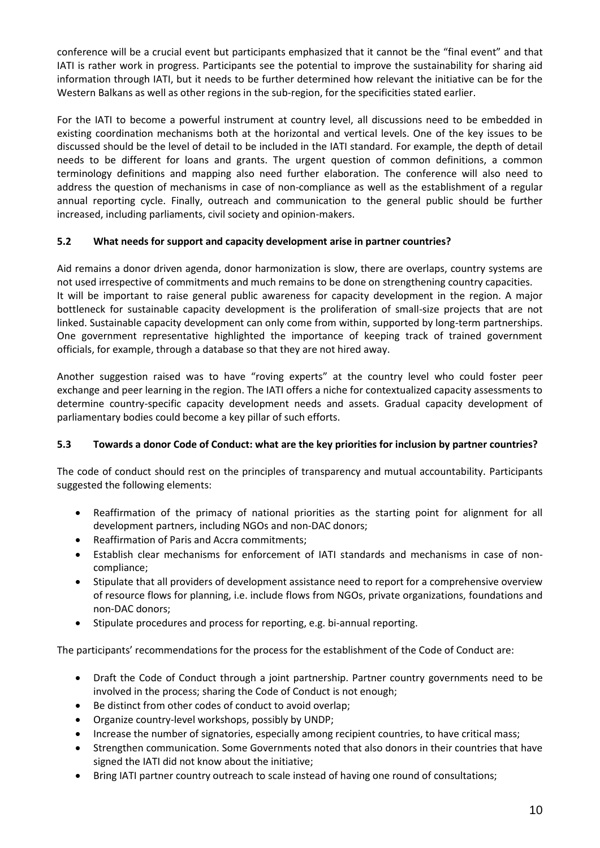conference will be a crucial event but participants emphasized that it cannot be the "final event" and that IATI is rather work in progress. Participants see the potential to improve the sustainability for sharing aid information through IATI, but it needs to be further determined how relevant the initiative can be for the Western Balkans as well as other regions in the sub-region, for the specificities stated earlier.

For the IATI to become a powerful instrument at country level, all discussions need to be embedded in existing coordination mechanisms both at the horizontal and vertical levels. One of the key issues to be discussed should be the level of detail to be included in the IATI standard. For example, the depth of detail needs to be different for loans and grants. The urgent question of common definitions, a common terminology definitions and mapping also need further elaboration. The conference will also need to address the question of mechanisms in case of non-compliance as well as the establishment of a regular annual reporting cycle. Finally, outreach and communication to the general public should be further increased, including parliaments, civil society and opinion-makers.

### **5.2 What needs for support and capacity development arise in partner countries?**

Aid remains a donor driven agenda, donor harmonization is slow, there are overlaps, country systems are not used irrespective of commitments and much remains to be done on strengthening country capacities. It will be important to raise general public awareness for capacity development in the region. A major bottleneck for sustainable capacity development is the proliferation of small-size projects that are not linked. Sustainable capacity development can only come from within, supported by long-term partnerships. One government representative highlighted the importance of keeping track of trained government officials, for example, through a database so that they are not hired away.

Another suggestion raised was to have "roving experts" at the country level who could foster peer exchange and peer learning in the region. The IATI offers a niche for contextualized capacity assessments to determine country-specific capacity development needs and assets. Gradual capacity development of parliamentary bodies could become a key pillar of such efforts.

#### **5.3 Towards a donor Code of Conduct: what are the key priorities for inclusion by partner countries?**

The code of conduct should rest on the principles of transparency and mutual accountability. Participants suggested the following elements:

- Reaffirmation of the primacy of national priorities as the starting point for alignment for all development partners, including NGOs and non-DAC donors;
- Reaffirmation of Paris and Accra commitments;
- Establish clear mechanisms for enforcement of IATI standards and mechanisms in case of noncompliance;
- Stipulate that all providers of development assistance need to report for a comprehensive overview of resource flows for planning, i.e. include flows from NGOs, private organizations, foundations and non-DAC donors;
- Stipulate procedures and process for reporting, e.g. bi-annual reporting.

The participants' recommendations for the process for the establishment of the Code of Conduct are:

- Draft the Code of Conduct through a joint partnership. Partner country governments need to be involved in the process; sharing the Code of Conduct is not enough;
- Be distinct from other codes of conduct to avoid overlap;
- Organize country-level workshops, possibly by UNDP;
- Increase the number of signatories, especially among recipient countries, to have critical mass;
- Strengthen communication. Some Governments noted that also donors in their countries that have signed the IATI did not know about the initiative;
- Bring IATI partner country outreach to scale instead of having one round of consultations;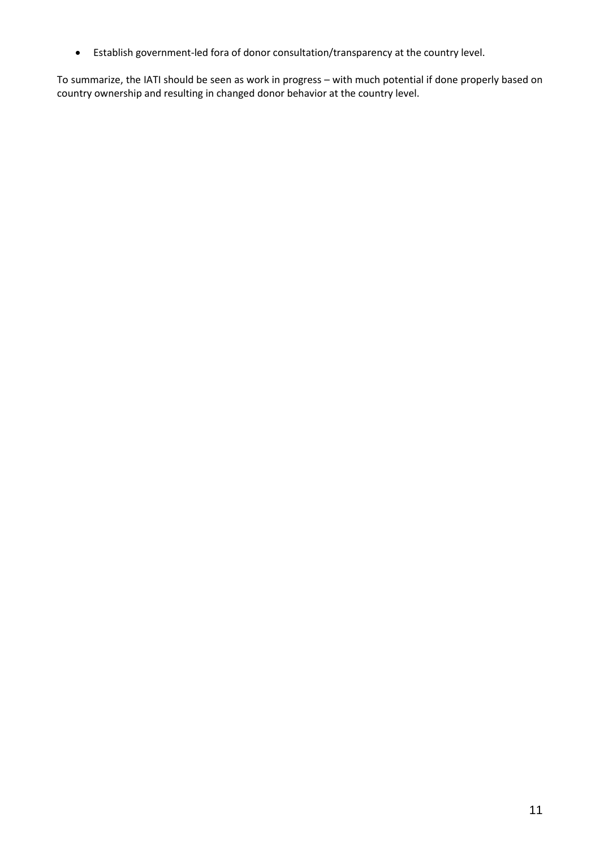Establish government-led fora of donor consultation/transparency at the country level.

To summarize, the IATI should be seen as work in progress – with much potential if done properly based on country ownership and resulting in changed donor behavior at the country level.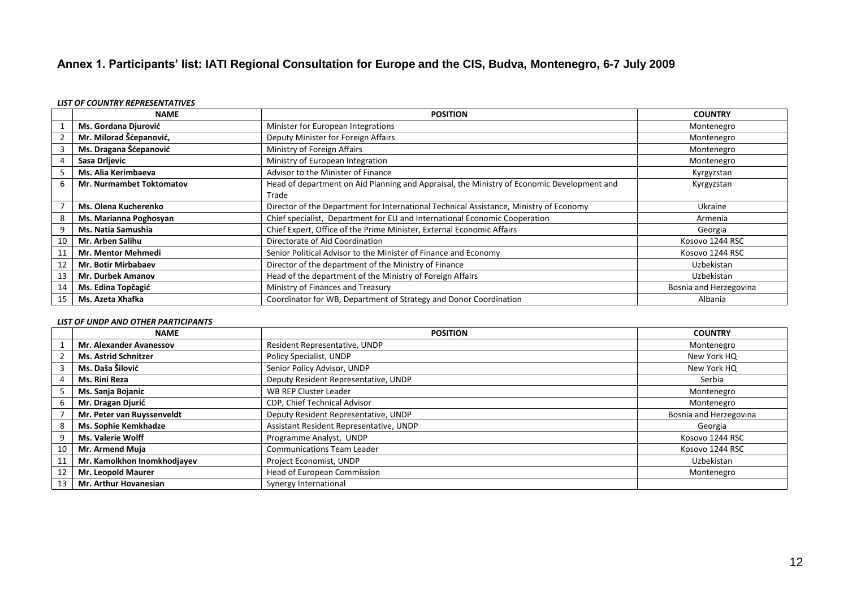## **Annex 1. Participants' list: IATI Regional Consultation for Europe and the CIS, Budva, Montenegro, 6-7 July 2009**

#### *LIST OF COUNTRY REPRESENTATIVES*

|    | <b>NAME</b>                     | <b>POSITION</b>                                                                            | <b>COUNTRY</b>         |
|----|---------------------------------|--------------------------------------------------------------------------------------------|------------------------|
|    | Ms. Gordana Djurović            | Minister for European Integrations                                                         | Montenegro             |
|    | Mr. Milorad Šćepanović,         | Deputy Minister for Foreign Affairs                                                        | Montenegro             |
|    | Ms. Dragana Šćepanović          | Ministry of Foreign Affairs                                                                | Montenegro             |
|    | Sasa Drljevic                   | Ministry of European Integration                                                           | Montenegro             |
|    | Ms. Alia Kerimbaeva             | Advisor to the Minister of Finance                                                         | Kyrgyzstan             |
| 6  | <b>Mr. Nurmambet Toktomatov</b> | Head of department on Aid Planning and Appraisal, the Ministry of Economic Development and | Kyrgyzstan             |
|    |                                 | Trade                                                                                      |                        |
|    | Ms. Olena Kucherenko            | Director of the Department for International Technical Assistance, Ministry of Economy     | Ukraine                |
|    | Ms. Marianna Poghosyan          | Chief specialist, Department for EU and International Economic Cooperation                 | Armenia                |
|    | Ms. Natia Samushia              | Chief Expert, Office of the Prime Minister, External Economic Affairs                      | Georgia                |
| 10 | <b>Mr. Arben Salihu</b>         | Directorate of Aid Coordination                                                            | Kosovo 1244 RSC        |
| 11 | Mr. Mentor Mehmedi              | Senior Political Advisor to the Minister of Finance and Economy                            | Kosovo 1244 RSC        |
| 12 | <b>Mr. Botir Mirbabaev</b>      | Director of the department of the Ministry of Finance                                      | Uzbekistan             |
| 13 | <b>Mr. Durbek Amanov</b>        | Head of the department of the Ministry of Foreign Affairs                                  | Uzbekistan             |
| 14 | Ms. Edina Topčagić              | Ministry of Finances and Treasury                                                          | Bosnia and Herzegovina |
| 15 | Ms. Azeta Xhafka                | Coordinator for WB, Department of Strategy and Donor Coordination                          | Albania                |

#### *LIST OF UNDP AND OTHER PARTICIPANTS*

|    | <b>NAME</b>                    | <b>POSITION</b>                         | <b>COUNTRY</b>         |
|----|--------------------------------|-----------------------------------------|------------------------|
|    | <b>Mr. Alexander Avanessov</b> | Resident Representative, UNDP           | Montenegro             |
|    | <b>Ms. Astrid Schnitzer</b>    | Policy Specialist, UNDP                 | New York HQ            |
|    | Ms. Daša Šilović               | Senior Policy Advisor, UNDP             | New York HQ            |
|    | Ms. Rini Reza                  | Deputy Resident Representative, UNDP    | Serbia                 |
|    | Ms. Sanja Bojanic              | <b>WB REP Cluster Leader</b>            | Montenegro             |
|    | Mr. Dragan Djurić              | CDP, Chief Technical Advisor            | Montenegro             |
|    | Mr. Peter van Ruyssenveldt     | Deputy Resident Representative, UNDP    | Bosnia and Herzegovina |
|    | Ms. Sophie Kemkhadze           | Assistant Resident Representative, UNDP | Georgia                |
| 9  | Ms. Valerie Wolff              | Programme Analyst, UNDP                 | Kosovo 1244 RSC        |
| 10 | Mr. Armend Muja                | <b>Communications Team Leader</b>       | Kosovo 1244 RSC        |
|    | Mr. Kamolkhon Inomkhodjayev    | Project Economist, UNDP                 | Uzbekistan             |
| 12 | <b>Mr. Leopold Maurer</b>      | Head of European Commission             | Montenegro             |
| 13 | <b>Mr. Arthur Hovanesian</b>   | Synergy International                   |                        |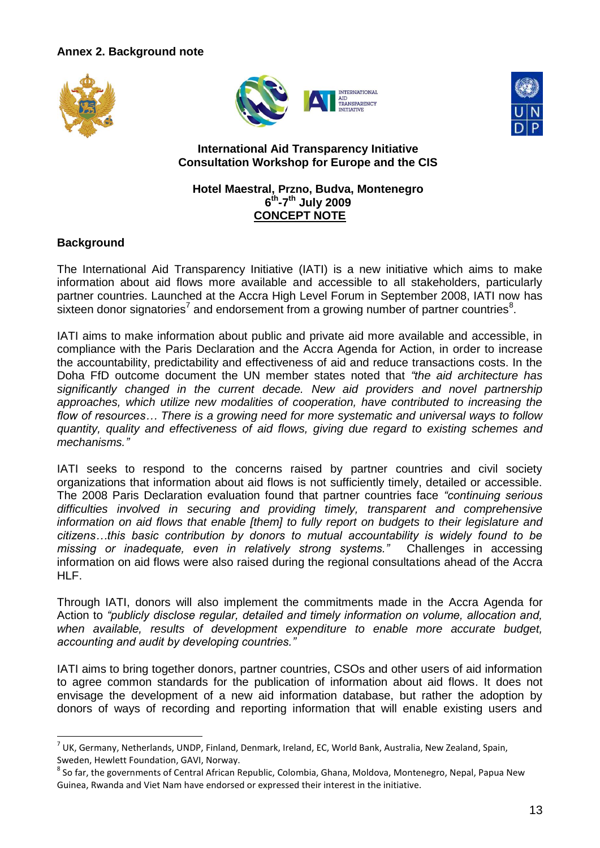### **Annex 2. Background note**







#### **International Aid Transparency Initiative Consultation Workshop for Europe and the CIS**

### **Hotel Maestral, Przno, Budva, Montenegro 6 th -7 th July 2009 CONCEPT NOTE**

## **Background**

1

The International Aid Transparency Initiative (IATI) is a new initiative which aims to make information about aid flows more available and accessible to all stakeholders, particularly partner countries. Launched at the Accra High Level Forum in September 2008, IATI now has sixteen donor signatories<sup>7</sup> and endorsement from a growing number of partner countries<sup>8</sup>.

IATI aims to make information about public and private aid more available and accessible, in compliance with the Paris Declaration and the Accra Agenda for Action, in order to increase the accountability, predictability and effectiveness of aid and reduce transactions costs. In the Doha FfD outcome document the UN member states noted that *"the aid architecture has significantly changed in the current decade. New aid providers and novel partnership approaches, which utilize new modalities of cooperation, have contributed to increasing the flow of resources… There is a growing need for more systematic and universal ways to follow quantity, quality and effectiveness of aid flows, giving due regard to existing schemes and mechanisms."*

IATI seeks to respond to the concerns raised by partner countries and civil society organizations that information about aid flows is not sufficiently timely, detailed or accessible. The 2008 Paris Declaration evaluation found that partner countries face *"continuing serious difficulties involved in securing and providing timely, transparent and comprehensive information on aid flows that enable [them] to fully report on budgets to their legislature and citizens…this basic contribution by donors to mutual accountability is widely found to be missing or inadequate, even in relatively strong systems."* Challenges in accessing information on aid flows were also raised during the regional consultations ahead of the Accra HLF.

Through IATI, donors will also implement the commitments made in the Accra Agenda for Action to *"publicly disclose regular, detailed and timely information on volume, allocation and,*  when available, results of development expenditure to enable more accurate budget, *accounting and audit by developing countries."*

IATI aims to bring together donors, partner countries, CSOs and other users of aid information to agree common standards for the publication of information about aid flows. It does not envisage the development of a new aid information database, but rather the adoption by donors of ways of recording and reporting information that will enable existing users and

 $^7$ UK, Germany, Netherlands, UNDP, Finland, Denmark, Ireland, EC, World Bank, Australia, New Zealand, Spain, Sweden, Hewlett Foundation, GAVI, Norway.

<sup>&</sup>lt;sup>8</sup> So far, the governments of Central African Republic, Colombia, Ghana, Moldova, Montenegro, Nepal, Papua New Guinea, Rwanda and Viet Nam have endorsed or expressed their interest in the initiative.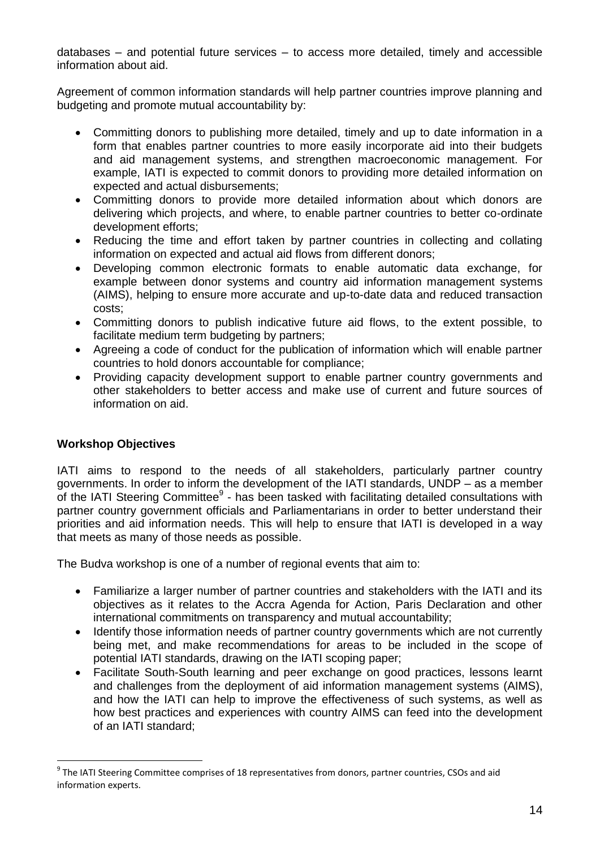databases – and potential future services – to access more detailed, timely and accessible information about aid.

Agreement of common information standards will help partner countries improve planning and budgeting and promote mutual accountability by:

- Committing donors to publishing more detailed, timely and up to date information in a form that enables partner countries to more easily incorporate aid into their budgets and aid management systems, and strengthen macroeconomic management. For example, IATI is expected to commit donors to providing more detailed information on expected and actual disbursements;
- Committing donors to provide more detailed information about which donors are delivering which projects, and where, to enable partner countries to better co-ordinate development efforts;
- Reducing the time and effort taken by partner countries in collecting and collating information on expected and actual aid flows from different donors;
- Developing common electronic formats to enable automatic data exchange, for example between donor systems and country aid information management systems (AIMS), helping to ensure more accurate and up-to-date data and reduced transaction costs;
- Committing donors to publish indicative future aid flows, to the extent possible, to facilitate medium term budgeting by partners;
- Agreeing a code of conduct for the publication of information which will enable partner countries to hold donors accountable for compliance;
- Providing capacity development support to enable partner country governments and other stakeholders to better access and make use of current and future sources of information on aid.

## **Workshop Objectives**

1

IATI aims to respond to the needs of all stakeholders, particularly partner country governments. In order to inform the development of the IATI standards, UNDP – as a member of the IATI Steering Committee $9$  - has been tasked with facilitating detailed consultations with partner country government officials and Parliamentarians in order to better understand their priorities and aid information needs. This will help to ensure that IATI is developed in a way that meets as many of those needs as possible.

The Budva workshop is one of a number of regional events that aim to:

- Familiarize a larger number of partner countries and stakeholders with the IATI and its objectives as it relates to the Accra Agenda for Action, Paris Declaration and other international commitments on transparency and mutual accountability;
- Identify those information needs of partner country governments which are not currently being met, and make recommendations for areas to be included in the scope of potential IATI standards, drawing on the IATI scoping paper;
- Facilitate South-South learning and peer exchange on good practices, lessons learnt and challenges from the deployment of aid information management systems (AIMS), and how the IATI can help to improve the effectiveness of such systems, as well as how best practices and experiences with country AIMS can feed into the development of an IATI standard;

<sup>&</sup>lt;sup>9</sup> The IATI Steering Committee comprises of 18 representatives from donors, partner countries, CSOs and aid information experts.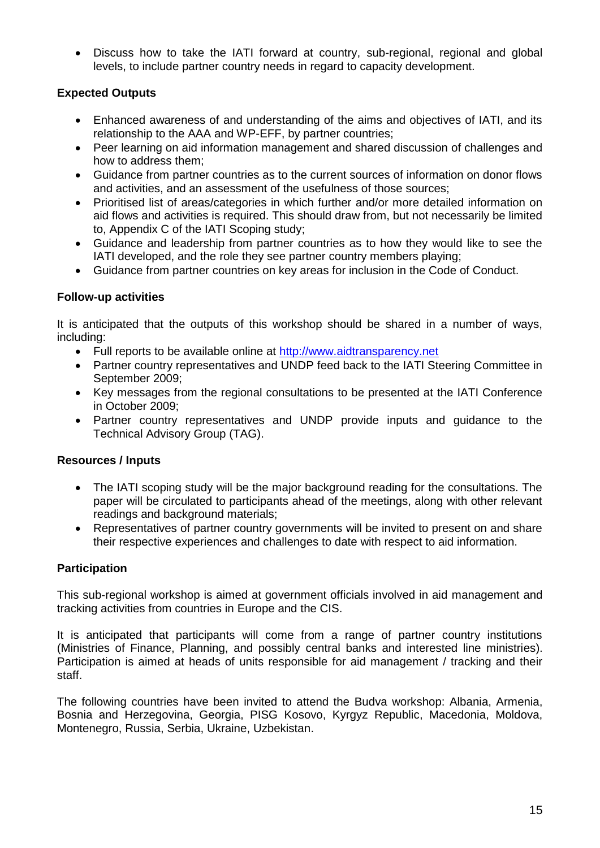• Discuss how to take the IATI forward at country, sub-regional, regional and global levels, to include partner country needs in regard to capacity development.

## **Expected Outputs**

- Enhanced awareness of and understanding of the aims and objectives of IATI, and its relationship to the AAA and WP-EFF, by partner countries;
- Peer learning on aid information management and shared discussion of challenges and how to address them;
- Guidance from partner countries as to the current sources of information on donor flows and activities, and an assessment of the usefulness of those sources;
- Prioritised list of areas/categories in which further and/or more detailed information on aid flows and activities is required. This should draw from, but not necessarily be limited to, Appendix C of the IATI Scoping study;
- Guidance and leadership from partner countries as to how they would like to see the IATI developed, and the role they see partner country members playing;
- Guidance from partner countries on key areas for inclusion in the Code of Conduct.

### **Follow-up activities**

It is anticipated that the outputs of this workshop should be shared in a number of ways, including:

- Full reports to be available online at [http://www.aidtransparency.net](http://www.aidtransparency.net/)
- Partner country representatives and UNDP feed back to the IATI Steering Committee in September 2009;
- Key messages from the regional consultations to be presented at the IATI Conference in October 2009;
- Partner country representatives and UNDP provide inputs and guidance to the Technical Advisory Group (TAG).

### **Resources / Inputs**

- The IATI scoping study will be the major background reading for the consultations. The paper will be circulated to participants ahead of the meetings, along with other relevant readings and background materials;
- Representatives of partner country governments will be invited to present on and share their respective experiences and challenges to date with respect to aid information.

### **Participation**

This sub-regional workshop is aimed at government officials involved in aid management and tracking activities from countries in Europe and the CIS.

It is anticipated that participants will come from a range of partner country institutions (Ministries of Finance, Planning, and possibly central banks and interested line ministries). Participation is aimed at heads of units responsible for aid management / tracking and their staff.

The following countries have been invited to attend the Budva workshop: Albania, Armenia, Bosnia and Herzegovina, Georgia, PISG Kosovo, Kyrgyz Republic, Macedonia, Moldova, Montenegro, Russia, Serbia, Ukraine, Uzbekistan.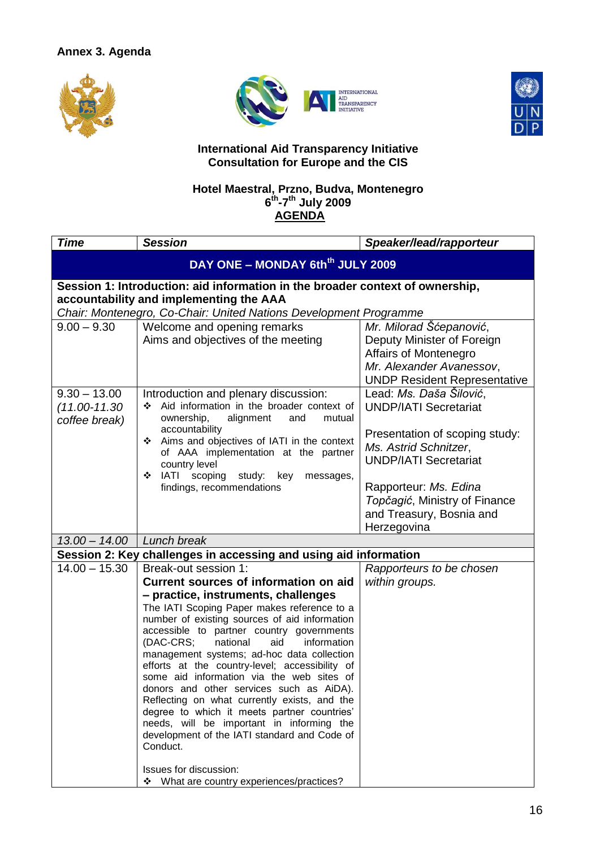





### **International Aid Transparency Initiative Consultation for Europe and the CIS**

#### **Hotel Maestral, Przno, Budva, Montenegro 6 th -7 th July 2009 AGENDA**

| <b>Time</b>                                                                   | <b>Session</b>                                                                               | Speaker/lead/rapporteur                             |  |
|-------------------------------------------------------------------------------|----------------------------------------------------------------------------------------------|-----------------------------------------------------|--|
| DAY ONE - MONDAY 6th <sup>th</sup> JULY 2009                                  |                                                                                              |                                                     |  |
| Session 1: Introduction: aid information in the broader context of ownership, |                                                                                              |                                                     |  |
|                                                                               | accountability and implementing the AAA                                                      |                                                     |  |
|                                                                               | Chair: Montenegro, Co-Chair: United Nations Development Programme                            |                                                     |  |
| $9.00 - 9.30$                                                                 | Welcome and opening remarks<br>Aims and objectives of the meeting                            | Mr. Milorad Sćepanović,                             |  |
|                                                                               |                                                                                              | Deputy Minister of Foreign<br>Affairs of Montenegro |  |
|                                                                               |                                                                                              | Mr. Alexander Avanessov,                            |  |
|                                                                               |                                                                                              | <b>UNDP Resident Representative</b>                 |  |
| $9.30 - 13.00$                                                                | Introduction and plenary discussion:                                                         | Lead: Ms. Daša Šilović,                             |  |
| $(11.00 - 11.30)$                                                             | Aid information in the broader context of<br>❖                                               | <b>UNDP/IATI Secretariat</b>                        |  |
| coffee break)                                                                 | ownership,<br>alignment<br>and<br>mutual                                                     |                                                     |  |
|                                                                               | accountability                                                                               | Presentation of scoping study:                      |  |
|                                                                               | Aims and objectives of IATI in the context<br>❖<br>of AAA implementation at the partner      | Ms. Astrid Schnitzer,                               |  |
|                                                                               | country level                                                                                | <b>UNDP/IATI Secretariat</b>                        |  |
|                                                                               | IATI scoping<br>study:<br>key<br>❖<br>messages,                                              |                                                     |  |
|                                                                               | findings, recommendations                                                                    | Rapporteur: Ms. Edina                               |  |
|                                                                               |                                                                                              | Topčagić, Ministry of Finance                       |  |
|                                                                               |                                                                                              | and Treasury, Bosnia and                            |  |
|                                                                               |                                                                                              | Herzegovina                                         |  |
| $13.00 - 14.00$                                                               | Lunch break                                                                                  |                                                     |  |
|                                                                               | Session 2: Key challenges in accessing and using aid information                             |                                                     |  |
| $14.00 - 15.30$                                                               | Break-out session 1:                                                                         | Rapporteurs to be chosen                            |  |
|                                                                               | Current sources of information on aid                                                        | within groups.                                      |  |
|                                                                               | - practice, instruments, challenges                                                          |                                                     |  |
|                                                                               | The IATI Scoping Paper makes reference to a<br>number of existing sources of aid information |                                                     |  |
|                                                                               | accessible to partner country governments                                                    |                                                     |  |
|                                                                               | (DAC-CRS;<br>national<br>aid<br>information                                                  |                                                     |  |
|                                                                               | management systems; ad-hoc data collection                                                   |                                                     |  |
|                                                                               | efforts at the country-level; accessibility of<br>some aid information via the web sites of  |                                                     |  |
|                                                                               | donors and other services such as AiDA).                                                     |                                                     |  |
|                                                                               | Reflecting on what currently exists, and the                                                 |                                                     |  |
|                                                                               | degree to which it meets partner countries'                                                  |                                                     |  |
|                                                                               | needs, will be important in informing the                                                    |                                                     |  |
|                                                                               | development of the IATI standard and Code of                                                 |                                                     |  |
|                                                                               | Conduct.                                                                                     |                                                     |  |
|                                                                               | Issues for discussion:                                                                       |                                                     |  |
|                                                                               | * What are country experiences/practices?                                                    |                                                     |  |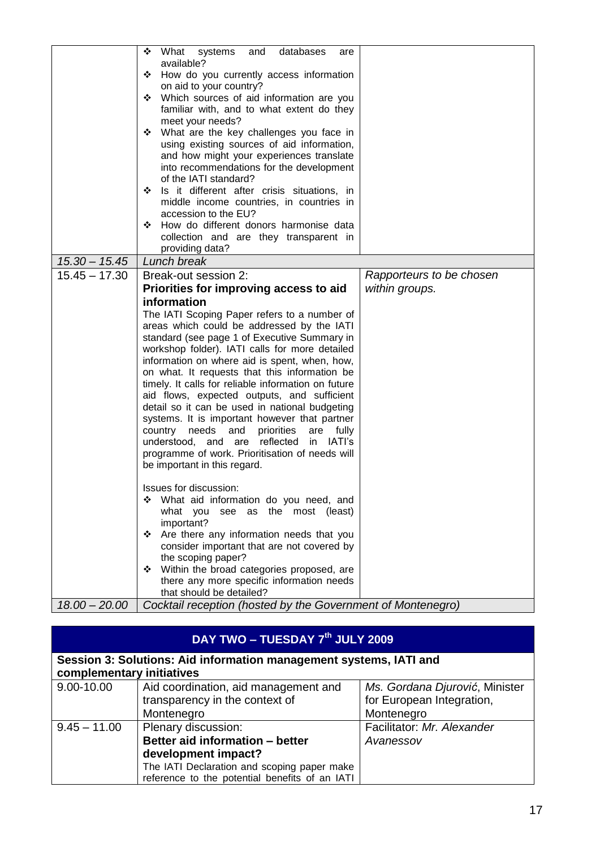|                 | ❖<br>What<br>databases<br>systems<br>and<br>are<br>available?                                          |                          |
|-----------------|--------------------------------------------------------------------------------------------------------|--------------------------|
|                 | How do you currently access information<br>❖                                                           |                          |
|                 | on aid to your country?                                                                                |                          |
|                 | Which sources of aid information are you<br>❖                                                          |                          |
|                 | familiar with, and to what extent do they                                                              |                          |
|                 | meet your needs?                                                                                       |                          |
|                 | • What are the key challenges you face in                                                              |                          |
|                 | using existing sources of aid information,<br>and how might your experiences translate                 |                          |
|                 | into recommendations for the development                                                               |                          |
|                 | of the IATI standard?                                                                                  |                          |
|                 | Is it different after crisis situations, in<br>❖                                                       |                          |
|                 | middle income countries, in countries in                                                               |                          |
|                 | accession to the EU?                                                                                   |                          |
|                 | How do different donors harmonise data<br>∙≫<br>collection and are they transparent in                 |                          |
|                 | providing data?                                                                                        |                          |
| $15.30 - 15.45$ | Lunch break                                                                                            |                          |
| $15.45 - 17.30$ | Break-out session 2:                                                                                   | Rapporteurs to be chosen |
|                 | Priorities for improving access to aid                                                                 | within groups.           |
|                 | information                                                                                            |                          |
|                 | The IATI Scoping Paper refers to a number of                                                           |                          |
|                 | areas which could be addressed by the IATI                                                             |                          |
|                 | standard (see page 1 of Executive Summary in<br>workshop folder). IATI calls for more detailed         |                          |
|                 | information on where aid is spent, when, how,                                                          |                          |
|                 | on what. It requests that this information be                                                          |                          |
|                 | timely. It calls for reliable information on future                                                    |                          |
|                 | aid flows, expected outputs, and sufficient                                                            |                          |
|                 | detail so it can be used in national budgeting                                                         |                          |
|                 | systems. It is important however that partner                                                          |                          |
|                 | country<br>needs<br>and<br>priorities<br>are<br>fully<br>reflected<br>in IATI's<br>understood, and are |                          |
|                 | programme of work. Prioritisation of needs will                                                        |                          |
|                 | be important in this regard.                                                                           |                          |
|                 |                                                                                                        |                          |
|                 | Issues for discussion:                                                                                 |                          |
|                 | What aid information do you need, and<br>❖                                                             |                          |
|                 | the most (least)<br>what you<br>see as<br>important?                                                   |                          |
|                 | Are there any information needs that you<br>❖                                                          |                          |
|                 | consider important that are not covered by                                                             |                          |
|                 | the scoping paper?                                                                                     |                          |
|                 | Within the broad categories proposed, are<br>❖                                                         |                          |
|                 | there any more specific information needs                                                              |                          |
|                 | that should be detailed?                                                                               |                          |
| $18.00 - 20.00$ | Cocktail reception (hosted by the Government of Montenegro)                                            |                          |

# **DAY TWO – TUESDAY 7th JULY 2009**

#### **Session 3: Solutions: Aid information management systems, IATI and complementary initiatives**<br>9.00-10.00 <br>Aid coordina Aid coordination, aid management and transparency in the context of Montenegro *Ms. Gordana Djurović*, Minister for European Integration, Montenegro 9.45 – 11.00 Plenary discussion: **Better aid information – better development impact?** The IATI Declaration and scoping paper make reference to the potential benefits of an IATI Facilitator: *Mr. Alexander Avanessov*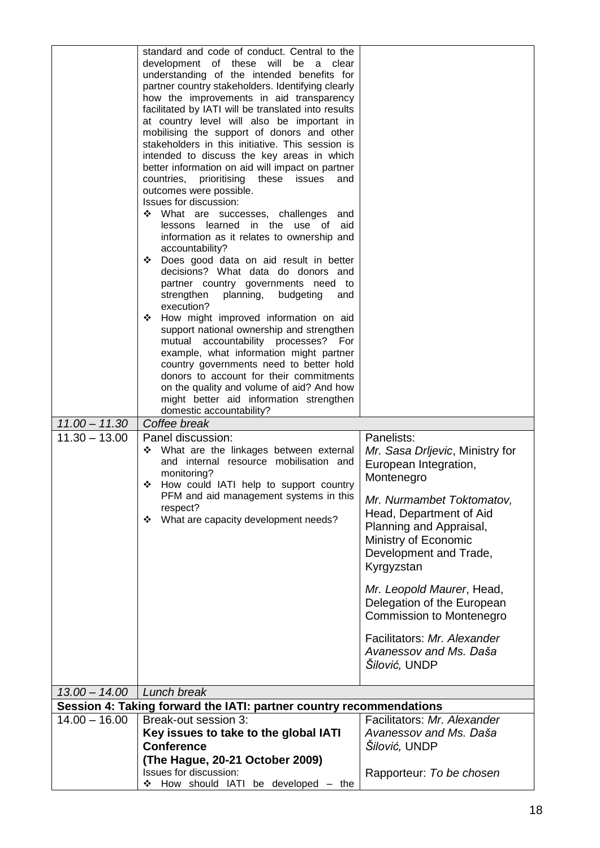| $11.00 - 11.30$ | standard and code of conduct. Central to the<br>development of these will be a clear<br>understanding of the intended benefits for<br>partner country stakeholders. Identifying clearly<br>how the improvements in aid transparency<br>facilitated by IATI will be translated into results<br>at country level will also be important in<br>mobilising the support of donors and other<br>stakeholders in this initiative. This session is<br>intended to discuss the key areas in which<br>better information on aid will impact on partner<br>prioritising<br>countries,<br>these<br><b>issues</b><br>and<br>outcomes were possible.<br>Issues for discussion:<br>• What are successes, challenges and<br>lessons learned in the use of<br>aid<br>information as it relates to ownership and<br>accountability?<br>Does good data on aid result in better<br>❖<br>decisions? What data do donors and<br>partner country governments need to<br>planning, budgeting<br>strengthen<br>and<br>execution?<br>How might improved information on aid<br>❖<br>support national ownership and strengthen<br>mutual accountability processes? For<br>example, what information might partner<br>country governments need to better hold<br>donors to account for their commitments<br>on the quality and volume of aid? And how<br>might better aid information strengthen<br>domestic accountability?<br>Coffee break |                                                                                                                                                                                                                                                                      |
|-----------------|-----------------------------------------------------------------------------------------------------------------------------------------------------------------------------------------------------------------------------------------------------------------------------------------------------------------------------------------------------------------------------------------------------------------------------------------------------------------------------------------------------------------------------------------------------------------------------------------------------------------------------------------------------------------------------------------------------------------------------------------------------------------------------------------------------------------------------------------------------------------------------------------------------------------------------------------------------------------------------------------------------------------------------------------------------------------------------------------------------------------------------------------------------------------------------------------------------------------------------------------------------------------------------------------------------------------------------------------------------------------------------------------------------------------|----------------------------------------------------------------------------------------------------------------------------------------------------------------------------------------------------------------------------------------------------------------------|
| $11.30 - 13.00$ | Panel discussion:<br>What are the linkages between external<br>❖<br>and internal resource mobilisation and<br>monitoring?<br>How could IATI help to support country<br>❖<br>PFM and aid management systems in this<br>respect?<br>What are capacity development needs?<br>❖                                                                                                                                                                                                                                                                                                                                                                                                                                                                                                                                                                                                                                                                                                                                                                                                                                                                                                                                                                                                                                                                                                                                     | Panelists:<br>Mr. Sasa Drljevic, Ministry for<br>European Integration,<br>Montenegro<br>Mr. Nurmambet Toktomatov,<br>Head, Department of Aid<br>Planning and Appraisal,<br>Ministry of Economic<br>Development and Trade,<br>Kyrgyzstan<br>Mr. Leopold Maurer, Head, |
|                 |                                                                                                                                                                                                                                                                                                                                                                                                                                                                                                                                                                                                                                                                                                                                                                                                                                                                                                                                                                                                                                                                                                                                                                                                                                                                                                                                                                                                                 | Delegation of the European<br><b>Commission to Montenegro</b><br>Facilitators: Mr. Alexander<br>Avanessov and Ms. Daša<br>Šilović, UNDP                                                                                                                              |
|                 |                                                                                                                                                                                                                                                                                                                                                                                                                                                                                                                                                                                                                                                                                                                                                                                                                                                                                                                                                                                                                                                                                                                                                                                                                                                                                                                                                                                                                 |                                                                                                                                                                                                                                                                      |
| $13.00 - 14.00$ | Lunch break                                                                                                                                                                                                                                                                                                                                                                                                                                                                                                                                                                                                                                                                                                                                                                                                                                                                                                                                                                                                                                                                                                                                                                                                                                                                                                                                                                                                     |                                                                                                                                                                                                                                                                      |
|                 | Session 4: Taking forward the IATI: partner country recommendations                                                                                                                                                                                                                                                                                                                                                                                                                                                                                                                                                                                                                                                                                                                                                                                                                                                                                                                                                                                                                                                                                                                                                                                                                                                                                                                                             |                                                                                                                                                                                                                                                                      |
| $14.00 - 16.00$ | Break-out session 3:<br>Key issues to take to the global IATI<br><b>Conference</b><br>(The Hague, 20-21 October 2009)<br>Issues for discussion:                                                                                                                                                                                                                                                                                                                                                                                                                                                                                                                                                                                                                                                                                                                                                                                                                                                                                                                                                                                                                                                                                                                                                                                                                                                                 | Facilitators: Mr. Alexander<br>Avanessov and Ms. Daša<br>Šilović, UNDP                                                                                                                                                                                               |